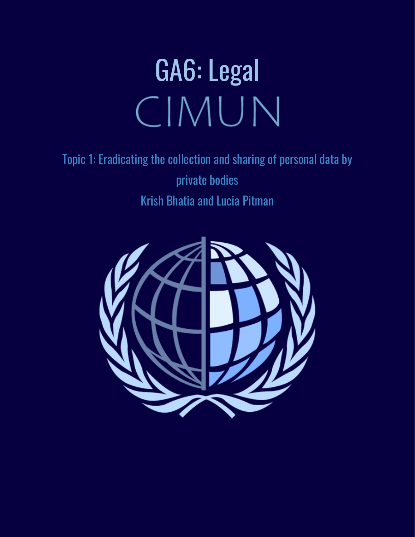# GA6: Legal CIMUN

Topic 1: Eradicating the collection and sharing of personal data by private bodies Krish Bhatia and Lucia Pitman

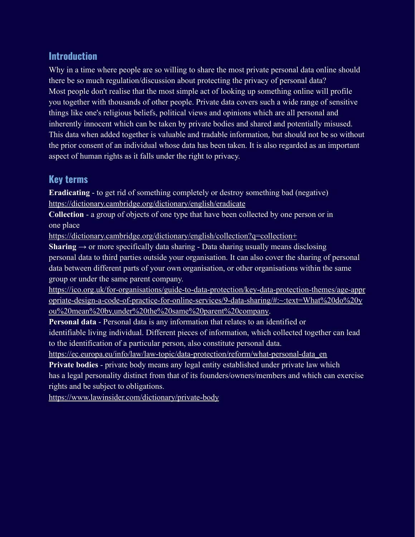## **Introduction**

Why in a time where people are so willing to share the most private personal data online should there be so much regulation/discussion about protecting the privacy of personal data? Most people don't realise that the most simple act of looking up something online will profile you together with thousands of other people. Private data covers such a wide range of sensitive things like one's religious beliefs, political views and opinions which are all personal and inherently innocent which can be taken by private bodies and shared and potentially misused. This data when added together is valuable and tradable information, but should not be so without the prior consent of an individual whose data has been taken. It is also regarded as an important aspect of human rights as it falls under the right to privacy.

# **Key terms**

**Eradicating** - to get rid of something completely or destroy something bad (negative) <https://dictionary.cambridge.org/dictionary/english/eradicate>

**Collection** - a group of objects of one type that have been collected by one person or in one place

<https://dictionary.cambridge.org/dictionary/english/collection?q=collection+>

**Sharing**  $\rightarrow$  or more specifically data sharing - Data sharing usually means disclosing personal data to third parties outside your organisation. It can also cover the sharing of personal data between different parts of your own organisation, or other organisations within the same group or under the same parent company.

[https://ico.org.uk/for-organisations/guide-to-data-protection/key-data-protection-themes/age-appr](https://ico.org.uk/for-organisations/guide-to-data-protection/key-data-protection-themes/age-appropriate-design-a-code-of-practice-for-online-services/9-data-sharing/#:~:text=What%20do%20you%20mean%20by,under%20the%20same%20parent%20company) [opriate-design-a-code-of-practice-for-online-services/9-data-sharing/#:~:text=What%20do%20y](https://ico.org.uk/for-organisations/guide-to-data-protection/key-data-protection-themes/age-appropriate-design-a-code-of-practice-for-online-services/9-data-sharing/#:~:text=What%20do%20you%20mean%20by,under%20the%20same%20parent%20company) [ou%20mean%20by,under%20the%20same%20parent%20company.](https://ico.org.uk/for-organisations/guide-to-data-protection/key-data-protection-themes/age-appropriate-design-a-code-of-practice-for-online-services/9-data-sharing/#:~:text=What%20do%20you%20mean%20by,under%20the%20same%20parent%20company)

**Personal data** - Personal data is any information that relates to an identified or identifiable living individual. Different pieces of information, which collected together can lead to the identification of a particular person, also constitute personal data.

[https://ec.europa.eu/info/law/law-topic/data-protection/reform/what-personal-data\\_en](https://ec.europa.eu/info/law/law-topic/data-protection/reform/what-personal-data_en)

**Private bodies** - private body means any legal entity established under private law which has a legal personality distinct from that of its founders/owners/members and which can exercise rights and be subject to obligations.

<https://www.lawinsider.com/dictionary/private-body>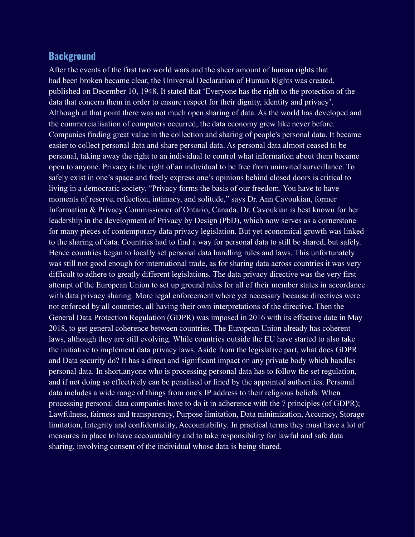#### **Background**

After the events of the first two world wars and the sheer amount of human rights that had been broken became clear, the Universal Declaration of Human Rights was created, published on December 10, 1948. It stated that 'Everyone has the right to the protection of the data that concern them in order to ensure respect for their dignity, identity and privacy'. Although at that point there was not much open sharing of data. As the world has developed and the commercialisation of computers occurred, the data economy grew like never before. Companies finding great value in the collection and sharing of people's personal data. It became easier to collect personal data and share personal data. As personal data almost ceased to be personal, taking away the right to an individual to control what information about them became open to anyone. Privacy is the right of an individual to be free from uninvited surveillance. To safely exist in one's space and freely express one's opinions behind closed doors is critical to living in a democratic society. "Privacy forms the basis of our freedom. You have to have moments of reserve, reflection, intimacy, and solitude," says Dr. Ann Cavoukian, former Information & Privacy Commissioner of Ontario, Canada. Dr. Cavoukian is best known for her leadership in the development of Privacy by Design (PbD), which now serves as a cornerstone for many pieces of contemporary data privacy legislation. But yet economical growth was linked to the sharing of data. Countries had to find a way for personal data to still be shared, but safely. Hence countries began to locally set personal data handling rules and laws. This unfortunately was still not good enough for international trade, as for sharing data across countries it was very difficult to adhere to greatly different legislations. The data privacy directive was the very first attempt of the European Union to set up ground rules for all of their member states in accordance with data privacy sharing. More legal enforcement where yet necessary because directives were not enforced by all countries, all having their own interpretations of the directive. Then the General Data Protection Regulation (GDPR) was imposed in 2016 with its effective date in May 2018, to get general coherence between countries. The European Union already has coherent laws, although they are still evolving. While countries outside the EU have started to also take the initiative to implement data privacy laws. Aside from the legislative part, what does GDPR and Data security do? It has a direct and significant impact on any private body which handles personal data. In short,anyone who is processing personal data has to follow the set regulation, and if not doing so effectively can be penalised or fined by the appointed authorities. Personal data includes a wide range of things from one's IP address to their religious beliefs. When processing personal data companies have to do it in adherence with the 7 principles (of GDPR); Lawfulness, fairness and transparency, Purpose limitation, Data minimization, Accuracy, Storage limitation, Integrity and confidentiality, Accountability. In practical terms they must have a lot of measures in place to have accountability and to take responsibility for lawful and safe data sharing, involving consent of the individual whose data is being shared.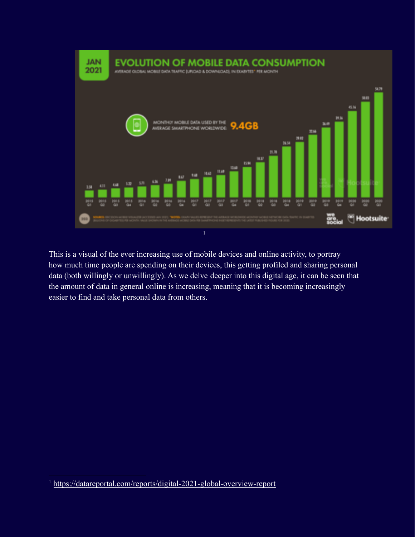

This is a visual of the ever increasing use of mobile devices and online activity, to portray how much time people are spending on their devices, this getting profiled and sharing personal data (both willingly or unwillingly). As we delve deeper into this digital age, it can be seen that the amount of data in general online is increasing, meaning that it is becoming increasingly easier to find and take personal data from others.

<sup>1</sup> <https://datareportal.com/reports/digital-2021-global-overview-report>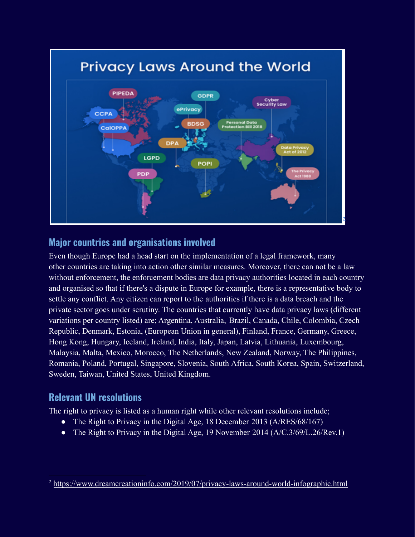

### **Major countries and organisations involved**

Even though Europe had a head start on the implementation of a legal framework, many other countries are taking into action other similar measures. Moreover, there can not be a law without enforcement, the enforcement bodies are data privacy authorities located in each country and organised so that if there's a dispute in Europe for example, there is a representative body to settle any conflict. Any citizen can report to the authorities if there is a data breach and the private sector goes under scrutiny. The countries that currently have data privacy laws (different variations per country listed) are; Argentina, Australia, Brazil, Canada, Chile, Colombia, Czech Republic, Denmark, Estonia, (European Union in general), Finland, France, Germany, Greece, Hong Kong, Hungary, Iceland, Ireland, India, Italy, Japan, Latvia, Lithuania, Luxembourg, Malaysia, Malta, Mexico, Morocco, The Netherlands, New Zealand, Norway, The Philippines, Romania, Poland, Portugal, Singapore, Slovenia, South Africa, South Korea, Spain, Switzerland, Sweden, Taiwan, United States, United Kingdom.

# **Relevant UN resolutions**

The right to privacy is listed as a human right while other relevant resolutions include;

- The Right to Privacy in the Digital Age, 18 December 2013 (A/RES/68/167)
- The Right to Privacy in the Digital Age, 19 November 2014 (A/C.3/69/L.26/Rev.1)

<sup>&</sup>lt;sup>2</sup> <https://www.dreamcreationinfo.com/2019/07/privacy-laws-around-world-infographic.html>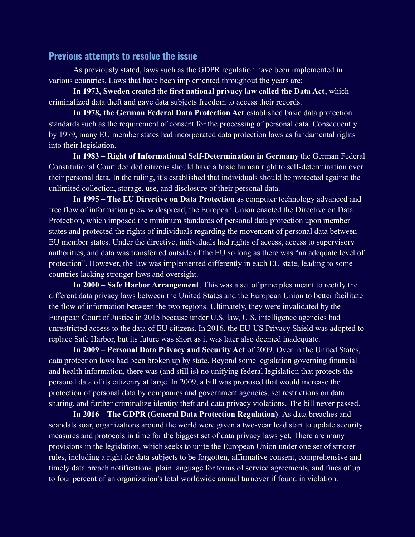#### **Previous attempts to resolve the issue**

As previously stated, laws such as the GDPR regulation have been implemented in various countries. Laws that have been implemented throughout the years are;

**In 1973, Sweden** created the **first national privacy law called the Data Act**, which criminalized data theft and gave data subjects freedom to access their records.

**In 1978, the German Federal Data Protection Act** established basic data protection standards such as the requirement of consent for the processing of personal data. Consequently by 1979, many EU member states had incorporated data protection laws as fundamental rights into their legislation.

**In 1983 – Right of Informational Self-Determination in Germany** the German Federal Constitutional Court decided citizens should have a basic human right to self-determination over their personal data. In the ruling, it's established that individuals should be protected against the unlimited collection, storage, use, and disclosure of their personal data.

**In 1995 – The EU Directive on Data Protection** as computer technology advanced and free flow of information grew widespread, the European Union enacted the Directive on Data Protection, which imposed the minimum standards of personal data protection upon member states and protected the rights of individuals regarding the movement of personal data between EU member states. Under the directive, individuals had rights of access, access to supervisory authorities, and data was transferred outside of the EU so long as there was "an adequate level of protection". However, the law was implemented differently in each EU state, leading to some countries lacking stronger laws and oversight.

**In 2000 – Safe Harbor Arrangement**. This was a set of principles meant to rectify the different data privacy laws between the United States and the European Union to better facilitate the flow of information between the two regions. Ultimately, they were invalidated by the European Court of Justice in 2015 because under U.S. law, U.S. intelligence agencies had unrestricted access to the data of EU citizens. In 2016, the EU-US Privacy Shield was adopted to replace Safe Harbor, but its future was short as it was later also deemed inadequate.

**In 2009 – Personal Data Privacy and Security Act** of 2009. Over in the United States, data protection laws had been broken up by state. Beyond some legislation governing financial and health information, there was (and still is) no unifying federal legislation that protects the personal data of its citizenry at large. In 2009, a bill was proposed that would increase the protection of personal data by companies and government agencies, set restrictions on data sharing, and further criminalize identity theft and data privacy violations. The bill never passed.

**In 2016 – The GDPR (General Data Protection Regulation)**. As data breaches and scandals soar, organizations around the world were given a two-year lead start to update security measures and protocols in time for the biggest set of data privacy laws yet. There are many provisions in the legislation, which seeks to unite the European Union under one set of stricter rules, including a right for data subjects to be forgotten, affirmative consent, comprehensive and timely data breach notifications, plain language for terms of service agreements, and fines of up to four percent of an organization's total worldwide annual turnover if found in violation.